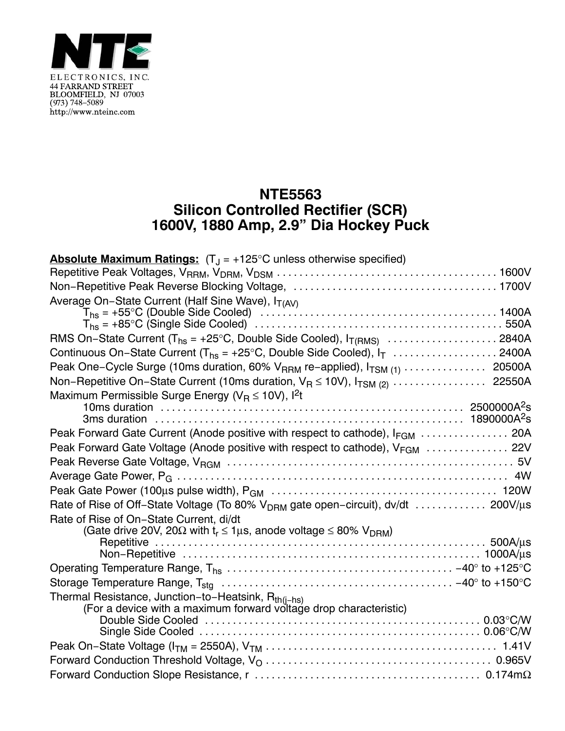

## **NTE5563 Silicon Controlled Rectifier (SCR) 1600V, 1880 Amp, 2.9" Dia Hockey Puck**

| <b>Absolute Maximum Ratings:</b> $(T_J = +125^{\circ}C$ unless otherwise specified)                                      |
|--------------------------------------------------------------------------------------------------------------------------|
|                                                                                                                          |
|                                                                                                                          |
| Average On-State Current (Half Sine Wave), IT(AV)                                                                        |
|                                                                                                                          |
|                                                                                                                          |
| Continuous On-State Current ( $T_{hs}$ = +25°C, Double Side Cooled), $I_T$ 2400A                                         |
| Peak One-Cycle Surge (10ms duration, 60% V <sub>RRM</sub> re-applied), I <sub>TSM (1)</sub> 20500A                       |
| Non-Repetitive On-State Current (10ms duration, $V_R \le 10V$ ), $I_{TSM (2)} \ldots \ldots \ldots \ldots$ 22550A        |
| Maximum Permissible Surge Energy ( $V_B \le 10V$ ), $l^2t$                                                               |
|                                                                                                                          |
| Peak Forward Gate Current (Anode positive with respect to cathode), IFGM  20A                                            |
| Peak Forward Gate Voltage (Anode positive with respect to cathode), V <sub>FGM</sub> 22V                                 |
|                                                                                                                          |
|                                                                                                                          |
|                                                                                                                          |
| Rate of Rise of Off-State Voltage (To 80% V <sub>DRM</sub> gate open-circuit), dv/dt  200V/µs                            |
| Rate of Rise of On-State Current, di/dt                                                                                  |
| (Gate drive 20V, 20 $\Omega$ with $t_r \le 1 \mu s$ , anode voltage $\le 80\%$ V <sub>DRM</sub> )                        |
|                                                                                                                          |
|                                                                                                                          |
|                                                                                                                          |
|                                                                                                                          |
| Thermal Resistance, Junction-to-Heatsink, Rth(j-hs)<br>(For a device with a maximum forward voltage drop characteristic) |
|                                                                                                                          |
|                                                                                                                          |
|                                                                                                                          |
|                                                                                                                          |
|                                                                                                                          |